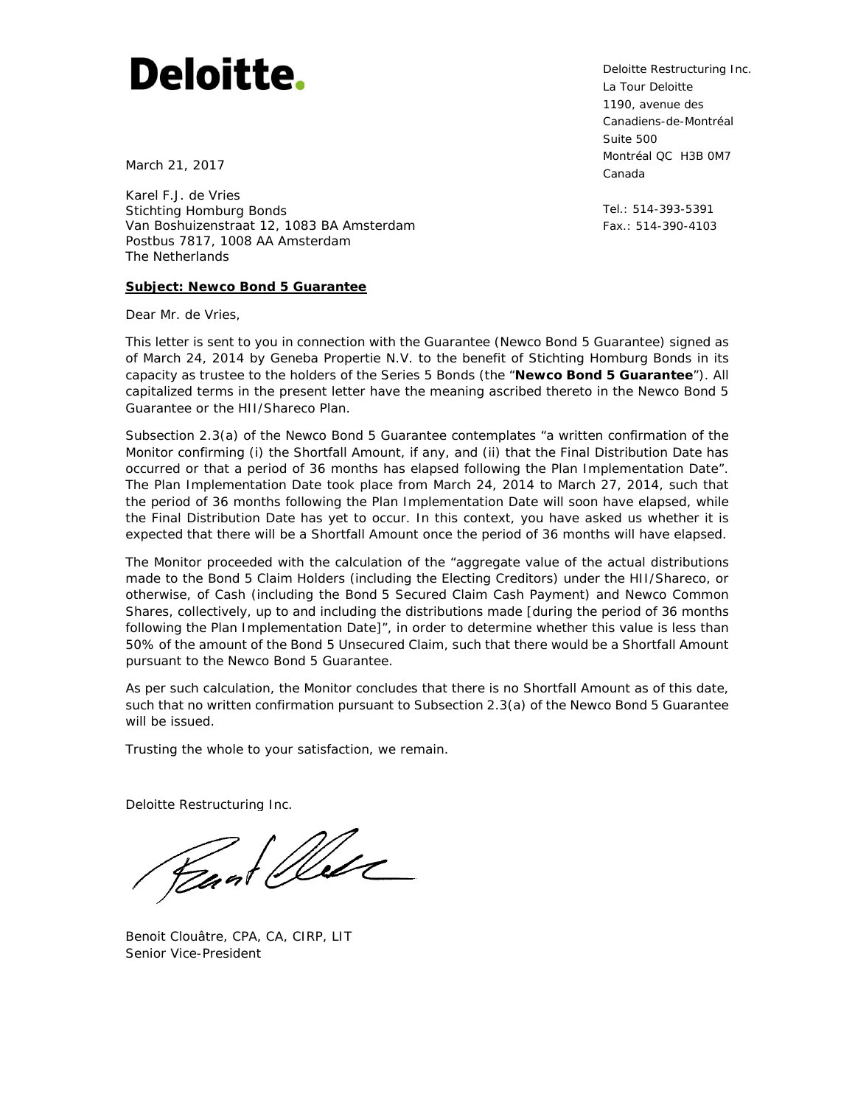# **Deloitte.**

March 21, 2017

Karel F.J. de Vries Stichting Homburg Bonds Van Boshuizenstraat 12, 1083 BA Amsterdam Postbus 7817, 1008 AA Amsterdam The Netherlands

## **Subject: Newco Bond 5 Guarantee**

Dear Mr. de Vries,

This letter is sent to you in connection with the Guarantee (Newco Bond 5 Guarantee) signed as of March 24, 2014 by Geneba Propertie N.V. to the benefit of Stichting Homburg Bonds in its capacity as trustee to the holders of the Series 5 Bonds (the "**Newco Bond 5 Guarantee**"). All capitalized terms in the present letter have the meaning ascribed thereto in the Newco Bond 5 Guarantee or the HII/Shareco Plan.

Subsection 2.3(a) of the Newco Bond 5 Guarantee contemplates "*a written confirmation of the Monitor confirming (i) the Shortfall Amount, if any, and (ii) that the Final Distribution Date has occurred or that a period of 36 months has elapsed following the Plan Implementation Date*". The Plan Implementation Date took place from March 24, 2014 to March 27, 2014, such that the period of 36 months following the Plan Implementation Date will soon have elapsed, while the Final Distribution Date has yet to occur. In this context, you have asked us whether it is expected that there will be a Shortfall Amount once the period of 36 months will have elapsed.

The Monitor proceeded with the calculation of the "*aggregate value of the actual distributions made to the Bond 5 Claim Holders (including the Electing Creditors) under the HII/Shareco, or otherwise, of Cash (including the Bond 5 Secured Claim Cash Payment) and Newco Common Shares, collectively, up to and including the distributions made [during the period of 36 months following the Plan Implementation Date]*", in order to determine whether this value is less than 50% of the amount of the Bond 5 Unsecured Claim, such that there would be a Shortfall Amount pursuant to the Newco Bond 5 Guarantee.

As per such calculation, the Monitor concludes that there is no Shortfall Amount as of this date, such that no written confirmation pursuant to Subsection 2.3(a) of the Newco Bond 5 Guarantee will be issued.

Trusting the whole to your satisfaction, we remain.

Deloitte Restructuring Inc.

Peant Well

Benoit Clouâtre, CPA, CA, CIRP, LIT Senior Vice-President

Deloitte Restructuring Inc. La Tour Deloitte 1190, avenue des Canadiens-de-Montréal Suite 500 Montréal QC H3B 0M7 Canada

Tel.: 514-393-5391 Fax.: 514-390-4103